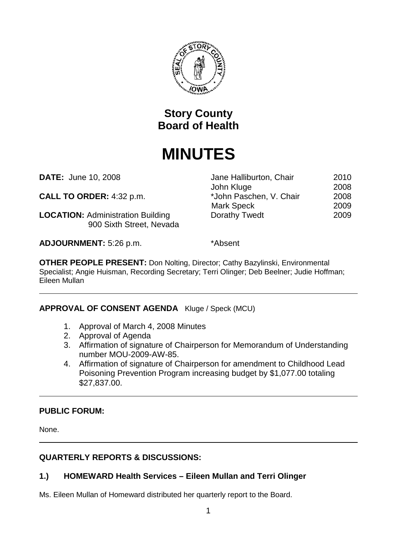

## **Story County Board of Health**

# **MINUTES**

**DATE:** June 10, 2008 **Jane Halliburton, Chair** 2010

**CALL TO ORDER:** 4:32 p.m.  $*$  John Paschen, V. Chair 2008

**LOCATION:** Administration Building Dorathy Twedt 2009 900 Sixth Street, Nevada

**ADJOURNMENT:** 5:26 p.m. \*Absent

John Kluge 2008

Mark Speck 2009

**OTHER PEOPLE PRESENT:** Don Nolting, Director; Cathy Bazylinski, Environmental Specialist; Angie Huisman, Recording Secretary; Terri Olinger; Deb Beelner; Judie Hoffman; Eileen Mullan

## **APPROVAL OF CONSENT AGENDA** Kluge / Speck (MCU)

- 1. Approval of March 4, 2008 Minutes
- 2. Approval of Agenda
- 3. Affirmation of signature of Chairperson for Memorandum of Understanding number MOU-2009-AW-85.
- 4. Affirmation of signature of Chairperson for amendment to Childhood Lead Poisoning Prevention Program increasing budget by \$1,077.00 totaling \$27,837.00.

## **PUBLIC FORUM:**

None.

## **QUARTERLY REPORTS & DISCUSSIONS:**

## **1.) HOMEWARD Health Services – Eileen Mullan and Terri Olinger**

Ms. Eileen Mullan of Homeward distributed her quarterly report to the Board.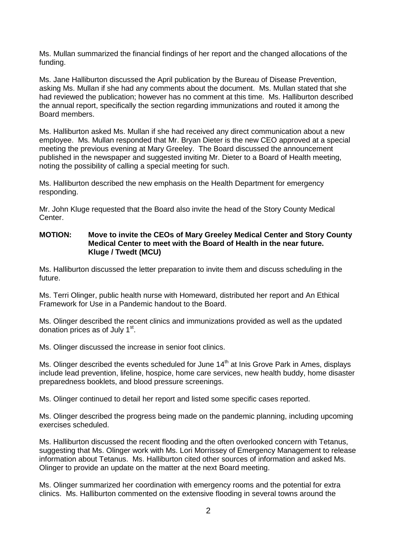Ms. Mullan summarized the financial findings of her report and the changed allocations of the funding.

Ms. Jane Halliburton discussed the April publication by the Bureau of Disease Prevention, asking Ms. Mullan if she had any comments about the document. Ms. Mullan stated that she had reviewed the publication; however has no comment at this time. Ms. Halliburton described the annual report, specifically the section regarding immunizations and routed it among the Board members.

Ms. Halliburton asked Ms. Mullan if she had received any direct communication about a new employee. Ms. Mullan responded that Mr. Bryan Dieter is the new CEO approved at a special meeting the previous evening at Mary Greeley. The Board discussed the announcement published in the newspaper and suggested inviting Mr. Dieter to a Board of Health meeting, noting the possibility of calling a special meeting for such.

Ms. Halliburton described the new emphasis on the Health Department for emergency responding.

Mr. John Kluge requested that the Board also invite the head of the Story County Medical Center.

#### **MOTION: Move to invite the CEOs of Mary Greeley Medical Center and Story County Medical Center to meet with the Board of Health in the near future. Kluge / Twedt (MCU)**

Ms. Halliburton discussed the letter preparation to invite them and discuss scheduling in the future.

Ms. Terri Olinger, public health nurse with Homeward, distributed her report and An Ethical Framework for Use in a Pandemic handout to the Board.

Ms. Olinger described the recent clinics and immunizations provided as well as the updated donation prices as of July 1<sup>st</sup>.

Ms. Olinger discussed the increase in senior foot clinics.

Ms. Olinger described the events scheduled for June  $14<sup>th</sup>$  at Inis Grove Park in Ames, displays include lead prevention, lifeline, hospice, home care services, new health buddy, home disaster preparedness booklets, and blood pressure screenings.

Ms. Olinger continued to detail her report and listed some specific cases reported.

Ms. Olinger described the progress being made on the pandemic planning, including upcoming exercises scheduled.

Ms. Halliburton discussed the recent flooding and the often overlooked concern with Tetanus, suggesting that Ms. Olinger work with Ms. Lori Morrissey of Emergency Management to release information about Tetanus. Ms. Halliburton cited other sources of information and asked Ms. Olinger to provide an update on the matter at the next Board meeting.

Ms. Olinger summarized her coordination with emergency rooms and the potential for extra clinics. Ms. Halliburton commented on the extensive flooding in several towns around the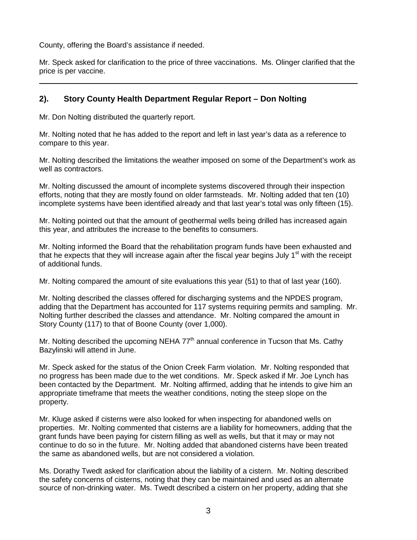County, offering the Board's assistance if needed.

Mr. Speck asked for clarification to the price of three vaccinations. Ms. Olinger clarified that the price is per vaccine.

## **2). Story County Health Department Regular Report – Don Nolting**

Mr. Don Nolting distributed the quarterly report.

Mr. Nolting noted that he has added to the report and left in last year's data as a reference to compare to this year.

Mr. Nolting described the limitations the weather imposed on some of the Department's work as well as contractors.

Mr. Nolting discussed the amount of incomplete systems discovered through their inspection efforts, noting that they are mostly found on older farmsteads. Mr. Nolting added that ten (10) incomplete systems have been identified already and that last year's total was only fifteen (15).

Mr. Nolting pointed out that the amount of geothermal wells being drilled has increased again this year, and attributes the increase to the benefits to consumers.

Mr. Nolting informed the Board that the rehabilitation program funds have been exhausted and that he expects that they will increase again after the fiscal year begins July  $1<sup>st</sup>$  with the receipt of additional funds.

Mr. Nolting compared the amount of site evaluations this year (51) to that of last year (160).

Mr. Nolting described the classes offered for discharging systems and the NPDES program, adding that the Department has accounted for 117 systems requiring permits and sampling. Mr. Nolting further described the classes and attendance. Mr. Nolting compared the amount in Story County (117) to that of Boone County (over 1,000).

Mr. Nolting described the upcoming NEHA  $77<sup>th</sup>$  annual conference in Tucson that Ms. Cathy Bazylinski will attend in June.

Mr. Speck asked for the status of the Onion Creek Farm violation. Mr. Nolting responded that no progress has been made due to the wet conditions. Mr. Speck asked if Mr. Joe Lynch has been contacted by the Department. Mr. Nolting affirmed, adding that he intends to give him an appropriate timeframe that meets the weather conditions, noting the steep slope on the property.

Mr. Kluge asked if cisterns were also looked for when inspecting for abandoned wells on properties. Mr. Nolting commented that cisterns are a liability for homeowners, adding that the grant funds have been paying for cistern filling as well as wells, but that it may or may not continue to do so in the future. Mr. Nolting added that abandoned cisterns have been treated the same as abandoned wells, but are not considered a violation.

Ms. Dorathy Twedt asked for clarification about the liability of a cistern. Mr. Nolting described the safety concerns of cisterns, noting that they can be maintained and used as an alternate source of non-drinking water. Ms. Twedt described a cistern on her property, adding that she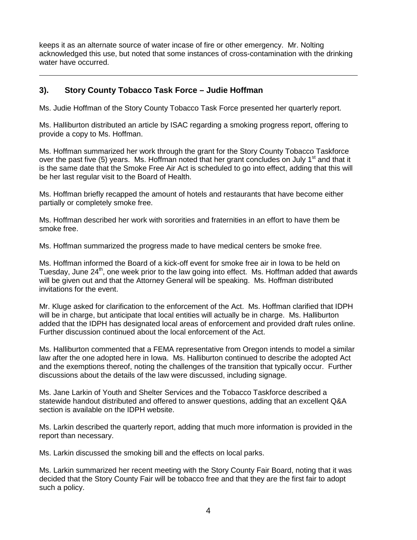keeps it as an alternate source of water incase of fire or other emergency. Mr. Nolting acknowledged this use, but noted that some instances of cross-contamination with the drinking water have occurred.

## **3). Story County Tobacco Task Force – Judie Hoffman**

Ms. Judie Hoffman of the Story County Tobacco Task Force presented her quarterly report.

Ms. Halliburton distributed an article by ISAC regarding a smoking progress report, offering to provide a copy to Ms. Hoffman.

Ms. Hoffman summarized her work through the grant for the Story County Tobacco Taskforce over the past five (5) years. Ms. Hoffman noted that her grant concludes on July 1<sup>st</sup> and that it is the same date that the Smoke Free Air Act is scheduled to go into effect, adding that this will be her last regular visit to the Board of Health.

Ms. Hoffman briefly recapped the amount of hotels and restaurants that have become either partially or completely smoke free.

Ms. Hoffman described her work with sororities and fraternities in an effort to have them be smoke free.

Ms. Hoffman summarized the progress made to have medical centers be smoke free.

Ms. Hoffman informed the Board of a kick-off event for smoke free air in Iowa to be held on Tuesday, June  $24<sup>th</sup>$ , one week prior to the law going into effect. Ms. Hoffman added that awards will be given out and that the Attorney General will be speaking. Ms. Hoffman distributed invitations for the event.

Mr. Kluge asked for clarification to the enforcement of the Act. Ms. Hoffman clarified that IDPH will be in charge, but anticipate that local entities will actually be in charge. Ms. Halliburton added that the IDPH has designated local areas of enforcement and provided draft rules online. Further discussion continued about the local enforcement of the Act.

Ms. Halliburton commented that a FEMA representative from Oregon intends to model a similar law after the one adopted here in Iowa. Ms. Halliburton continued to describe the adopted Act and the exemptions thereof, noting the challenges of the transition that typically occur. Further discussions about the details of the law were discussed, including signage.

Ms. Jane Larkin of Youth and Shelter Services and the Tobacco Taskforce described a statewide handout distributed and offered to answer questions, adding that an excellent Q&A section is available on the IDPH website.

Ms. Larkin described the quarterly report, adding that much more information is provided in the report than necessary.

Ms. Larkin discussed the smoking bill and the effects on local parks.

Ms. Larkin summarized her recent meeting with the Story County Fair Board, noting that it was decided that the Story County Fair will be tobacco free and that they are the first fair to adopt such a policy.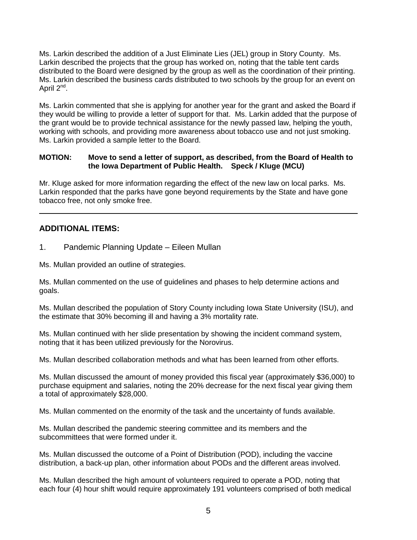Ms. Larkin described the addition of a Just Eliminate Lies (JEL) group in Story County. Ms. Larkin described the projects that the group has worked on, noting that the table tent cards distributed to the Board were designed by the group as well as the coordination of their printing. Ms. Larkin described the business cards distributed to two schools by the group for an event on April  $2^{nd}$ .

Ms. Larkin commented that she is applying for another year for the grant and asked the Board if they would be willing to provide a letter of support for that. Ms. Larkin added that the purpose of the grant would be to provide technical assistance for the newly passed law, helping the youth, working with schools, and providing more awareness about tobacco use and not just smoking. Ms. Larkin provided a sample letter to the Board.

#### **MOTION: Move to send a letter of support, as described, from the Board of Health to the Iowa Department of Public Health. Speck / Kluge (MCU)**

Mr. Kluge asked for more information regarding the effect of the new law on local parks. Ms. Larkin responded that the parks have gone beyond requirements by the State and have gone tobacco free, not only smoke free.

## **ADDITIONAL ITEMS:**

1. Pandemic Planning Update – Eileen Mullan

Ms. Mullan provided an outline of strategies.

Ms. Mullan commented on the use of guidelines and phases to help determine actions and goals.

Ms. Mullan described the population of Story County including Iowa State University (ISU), and the estimate that 30% becoming ill and having a 3% mortality rate.

Ms. Mullan continued with her slide presentation by showing the incident command system, noting that it has been utilized previously for the Norovirus.

Ms. Mullan described collaboration methods and what has been learned from other efforts.

Ms. Mullan discussed the amount of money provided this fiscal year (approximately \$36,000) to purchase equipment and salaries, noting the 20% decrease for the next fiscal year giving them a total of approximately \$28,000.

Ms. Mullan commented on the enormity of the task and the uncertainty of funds available.

Ms. Mullan described the pandemic steering committee and its members and the subcommittees that were formed under it.

Ms. Mullan discussed the outcome of a Point of Distribution (POD), including the vaccine distribution, a back-up plan, other information about PODs and the different areas involved.

Ms. Mullan described the high amount of volunteers required to operate a POD, noting that each four (4) hour shift would require approximately 191 volunteers comprised of both medical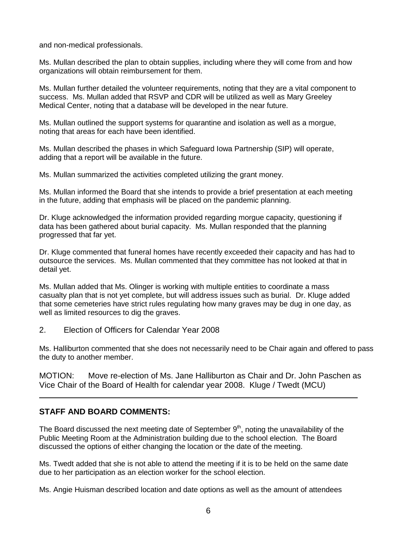and non-medical professionals.

Ms. Mullan described the plan to obtain supplies, including where they will come from and how organizations will obtain reimbursement for them.

Ms. Mullan further detailed the volunteer requirements, noting that they are a vital component to success. Ms. Mullan added that RSVP and CDR will be utilized as well as Mary Greeley Medical Center, noting that a database will be developed in the near future.

Ms. Mullan outlined the support systems for quarantine and isolation as well as a morgue, noting that areas for each have been identified.

Ms. Mullan described the phases in which Safeguard Iowa Partnership (SIP) will operate, adding that a report will be available in the future.

Ms. Mullan summarized the activities completed utilizing the grant money.

Ms. Mullan informed the Board that she intends to provide a brief presentation at each meeting in the future, adding that emphasis will be placed on the pandemic planning.

Dr. Kluge acknowledged the information provided regarding morgue capacity, questioning if data has been gathered about burial capacity. Ms. Mullan responded that the planning progressed that far yet.

Dr. Kluge commented that funeral homes have recently exceeded their capacity and has had to outsource the services. Ms. Mullan commented that they committee has not looked at that in detail yet.

Ms. Mullan added that Ms. Olinger is working with multiple entities to coordinate a mass casualty plan that is not yet complete, but will address issues such as burial. Dr. Kluge added that some cemeteries have strict rules regulating how many graves may be dug in one day, as well as limited resources to dig the graves.

2. Election of Officers for Calendar Year 2008

Ms. Halliburton commented that she does not necessarily need to be Chair again and offered to pass the duty to another member.

MOTION: Move re-election of Ms. Jane Halliburton as Chair and Dr. John Paschen as Vice Chair of the Board of Health for calendar year 2008. Kluge / Twedt (MCU)

### **STAFF AND BOARD COMMENTS:**

The Board discussed the next meeting date of September  $9<sup>th</sup>$ , noting the unavailability of the Public Meeting Room at the Administration building due to the school election. The Board discussed the options of either changing the location or the date of the meeting.

Ms. Twedt added that she is not able to attend the meeting if it is to be held on the same date due to her participation as an election worker for the school election.

Ms. Angie Huisman described location and date options as well as the amount of attendees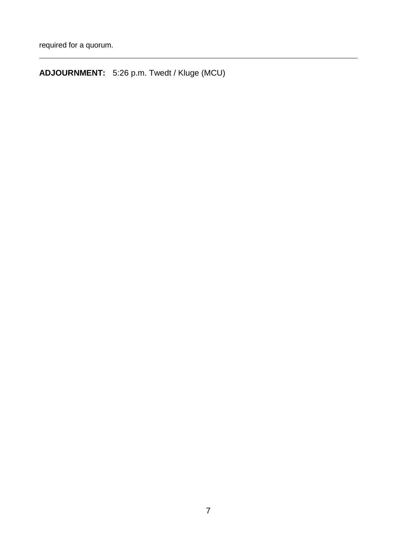**ADJOURNMENT:** 5:26 p.m. Twedt / Kluge (MCU)